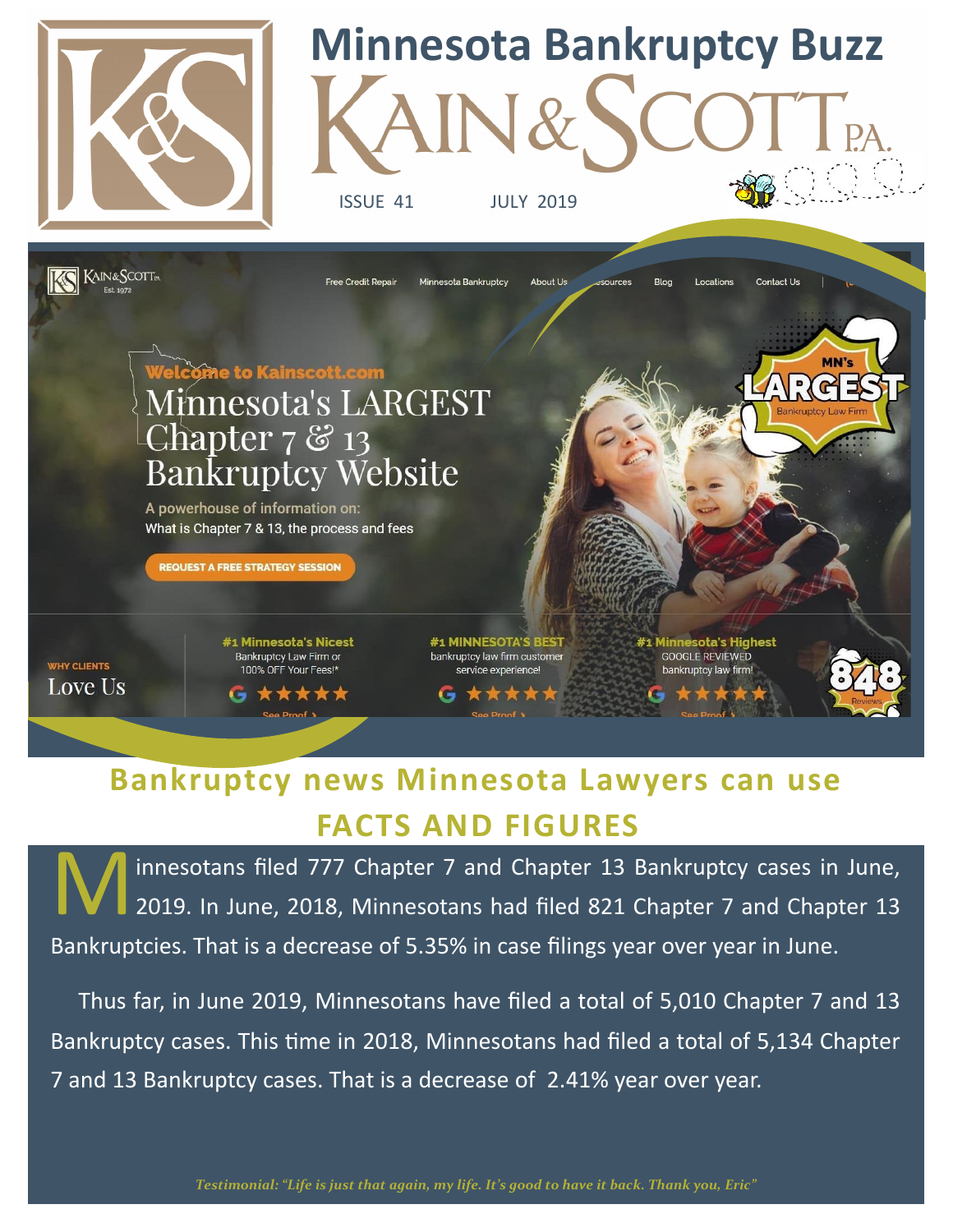

# **Minnesota Bankruptcy Buzz**

ISSUE 41 JULY 2019



### **FACTS AND FIGURES Bankruptcy news Minnesota Lawyers can use**

innesotans filed 777 Chapter 7 and Chapter 13 Bankruptcy cases in June, 2019. In June, 2018, Minnesotans had filed 821 Chapter 7 and Chapter 13 Bankruptcies. That is a decrease of 5.35% in case filings year over year in June.

 Thus far, in June 2019, Minnesotans have filed a total of 5,010 Chapter 7 and 13 Bankruptcy cases. This time in 2018, Minnesotans had filed a total of 5,134 Chapter 7 and 13 Bankruptcy cases. That is a decrease of 2.41% year over year.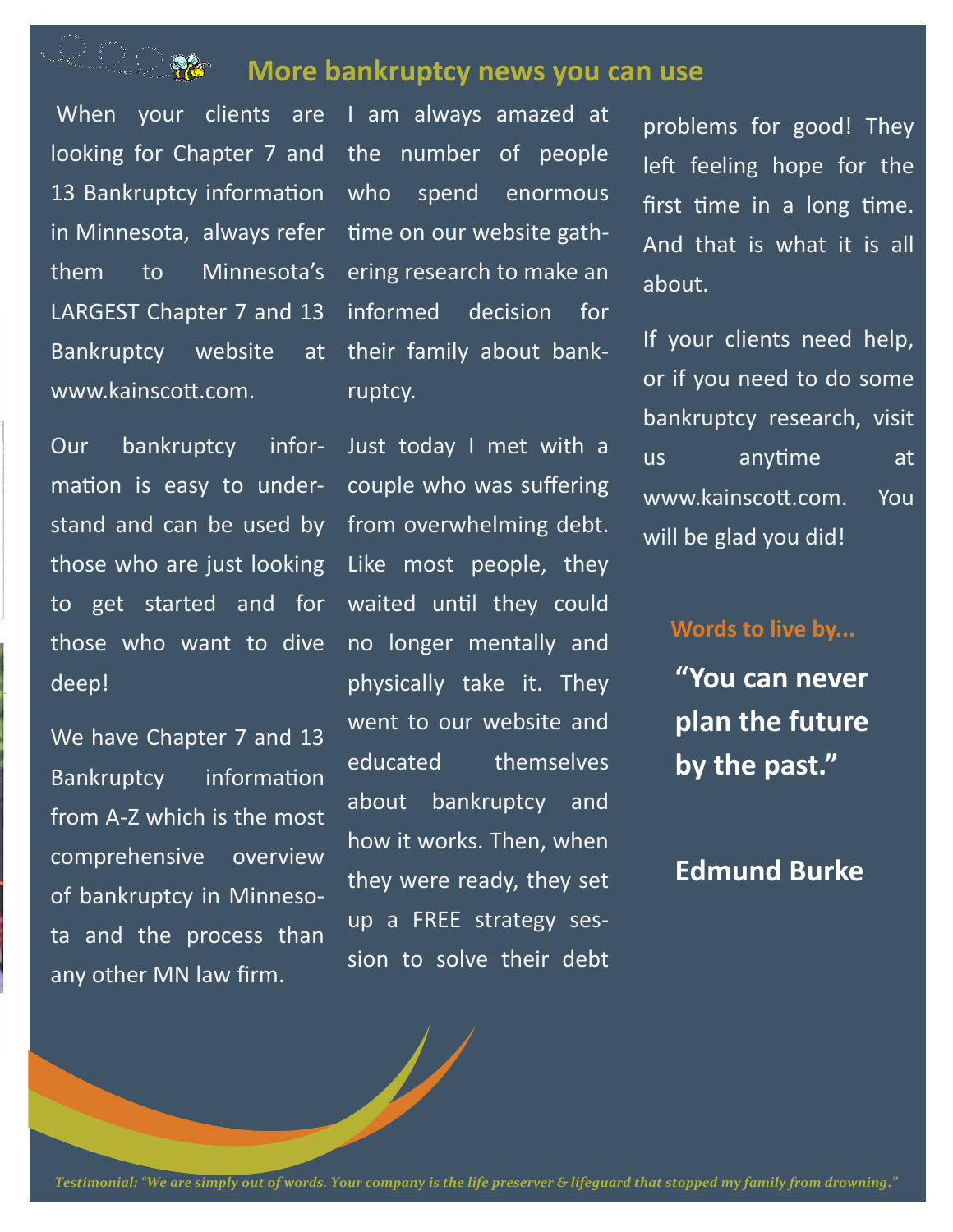## 

#### **More bankruptcy news you can use**

looking for Chapter 7 and 13 Bankruptcy information who in Minnesota, always refer them to Minnesota's LARGEST Chapter 7 and 13 Bankruptcy website at www.kainscott.com.

When your clients are I am always amazed at the number of people spend enormous time on our website gathering research to make an informed decision for their family about bankruptcy.

Our bankruptcy information is easy to understand and can be used by those who are just looking to get started and for those who want to dive deep!

We have Chapter 7 and 13 Bankruptcy information from A-Z which is the most comprehensive overview of bankruptcy in Minnesota and the process than any other MN law firm.

Just today I met with a couple who was suffering from overwhelming debt. Like most people, they waited until they could no longer mentally and physically take it. They went to our website and educated themselves about bankruptcy and how it works. Then, when they were ready, they set up a FREE strategy session to solve their debt

problems for good! They left feeling hope for the first time in a long time. And that is what it is all about.

If your clients need help, or if you need to do some bankruptcy research, visit us anytime at www.kainscott.com. You will be glad you did!

#### **Words to live by...**

**"You can never plan the future by the past."**

#### **Edmund Burke**